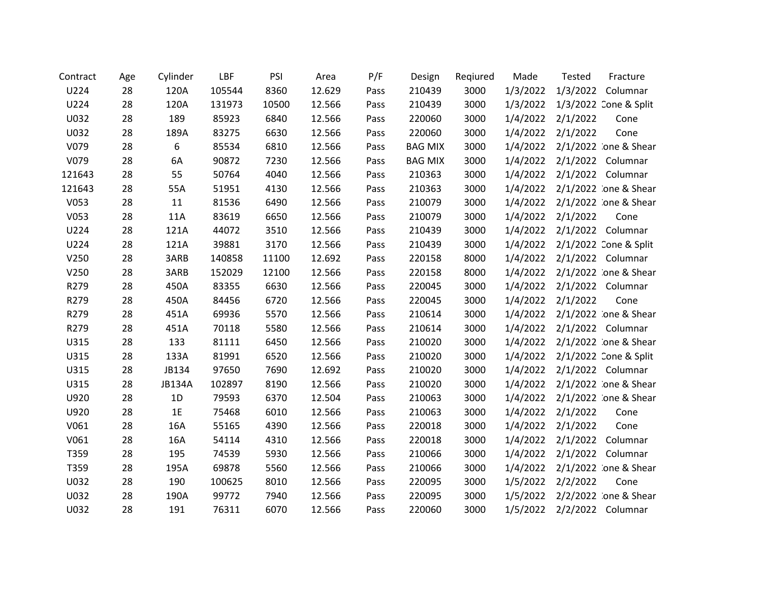| Contract | Age | Cylinder      | LBF    | PSI   | Area   | P/F  | Design         | Regiured | Made     | Tested   | Fracture              |
|----------|-----|---------------|--------|-------|--------|------|----------------|----------|----------|----------|-----------------------|
| U224     | 28  | 120A          | 105544 | 8360  | 12.629 | Pass | 210439         | 3000     | 1/3/2022 | 1/3/2022 | Columnar              |
| U224     | 28  | 120A          | 131973 | 10500 | 12.566 | Pass | 210439         | 3000     | 1/3/2022 |          | 1/3/2022 Cone & Split |
| U032     | 28  | 189           | 85923  | 6840  | 12.566 | Pass | 220060         | 3000     | 1/4/2022 | 2/1/2022 | Cone                  |
| U032     | 28  | 189A          | 83275  | 6630  | 12.566 | Pass | 220060         | 3000     | 1/4/2022 | 2/1/2022 | Cone                  |
| V079     | 28  | 6             | 85534  | 6810  | 12.566 | Pass | <b>BAG MIX</b> | 3000     | 1/4/2022 |          | 2/1/2022 :one & Shear |
| V079     | 28  | 6A            | 90872  | 7230  | 12.566 | Pass | <b>BAG MIX</b> | 3000     | 1/4/2022 |          | 2/1/2022 Columnar     |
| 121643   | 28  | 55            | 50764  | 4040  | 12.566 | Pass | 210363         | 3000     | 1/4/2022 |          | 2/1/2022 Columnar     |
| 121643   | 28  | 55A           | 51951  | 4130  | 12.566 | Pass | 210363         | 3000     | 1/4/2022 |          | 2/1/2022 :one & Shear |
| V053     | 28  | 11            | 81536  | 6490  | 12.566 | Pass | 210079         | 3000     | 1/4/2022 |          | 2/1/2022 .one & Shear |
| V053     | 28  | 11A           | 83619  | 6650  | 12.566 | Pass | 210079         | 3000     | 1/4/2022 | 2/1/2022 | Cone                  |
| U224     | 28  | 121A          | 44072  | 3510  | 12.566 | Pass | 210439         | 3000     | 1/4/2022 |          | 2/1/2022 Columnar     |
| U224     | 28  | 121A          | 39881  | 3170  | 12.566 | Pass | 210439         | 3000     | 1/4/2022 |          | 2/1/2022 Cone & Split |
| V250     | 28  | 3ARB          | 140858 | 11100 | 12.692 | Pass | 220158         | 8000     | 1/4/2022 |          | 2/1/2022 Columnar     |
| V250     | 28  | 3ARB          | 152029 | 12100 | 12.566 | Pass | 220158         | 8000     | 1/4/2022 |          | 2/1/2022 `one & Shear |
| R279     | 28  | 450A          | 83355  | 6630  | 12.566 | Pass | 220045         | 3000     | 1/4/2022 |          | 2/1/2022 Columnar     |
| R279     | 28  | 450A          | 84456  | 6720  | 12.566 | Pass | 220045         | 3000     | 1/4/2022 | 2/1/2022 | Cone                  |
| R279     | 28  | 451A          | 69936  | 5570  | 12.566 | Pass | 210614         | 3000     | 1/4/2022 |          | 2/1/2022 :one & Shear |
| R279     | 28  | 451A          | 70118  | 5580  | 12.566 | Pass | 210614         | 3000     | 1/4/2022 |          | 2/1/2022 Columnar     |
| U315     | 28  | 133           | 81111  | 6450  | 12.566 | Pass | 210020         | 3000     | 1/4/2022 |          | 2/1/2022 :one & Shear |
| U315     | 28  | 133A          | 81991  | 6520  | 12.566 | Pass | 210020         | 3000     | 1/4/2022 |          | 2/1/2022 Cone & Split |
| U315     | 28  | JB134         | 97650  | 7690  | 12.692 | Pass | 210020         | 3000     | 1/4/2022 |          | 2/1/2022 Columnar     |
| U315     | 28  | <b>JB134A</b> | 102897 | 8190  | 12.566 | Pass | 210020         | 3000     | 1/4/2022 |          | 2/1/2022 :one & Shear |
| U920     | 28  | 1D            | 79593  | 6370  | 12.504 | Pass | 210063         | 3000     | 1/4/2022 |          | 2/1/2022 :one & Shear |
| U920     | 28  | 1E            | 75468  | 6010  | 12.566 | Pass | 210063         | 3000     | 1/4/2022 | 2/1/2022 | Cone                  |
| V061     | 28  | 16A           | 55165  | 4390  | 12.566 | Pass | 220018         | 3000     | 1/4/2022 | 2/1/2022 | Cone                  |
| V061     | 28  | 16A           | 54114  | 4310  | 12.566 | Pass | 220018         | 3000     | 1/4/2022 | 2/1/2022 | Columnar              |
| T359     | 28  | 195           | 74539  | 5930  | 12.566 | Pass | 210066         | 3000     | 1/4/2022 | 2/1/2022 | Columnar              |
| T359     | 28  | 195A          | 69878  | 5560  | 12.566 | Pass | 210066         | 3000     | 1/4/2022 |          | 2/1/2022 one & Shear  |
| U032     | 28  | 190           | 100625 | 8010  | 12.566 | Pass | 220095         | 3000     | 1/5/2022 | 2/2/2022 | Cone                  |
| U032     | 28  | 190A          | 99772  | 7940  | 12.566 | Pass | 220095         | 3000     | 1/5/2022 |          | 2/2/2022 :one & Shear |
| U032     | 28  | 191           | 76311  | 6070  | 12.566 | Pass | 220060         | 3000     | 1/5/2022 |          | 2/2/2022 Columnar     |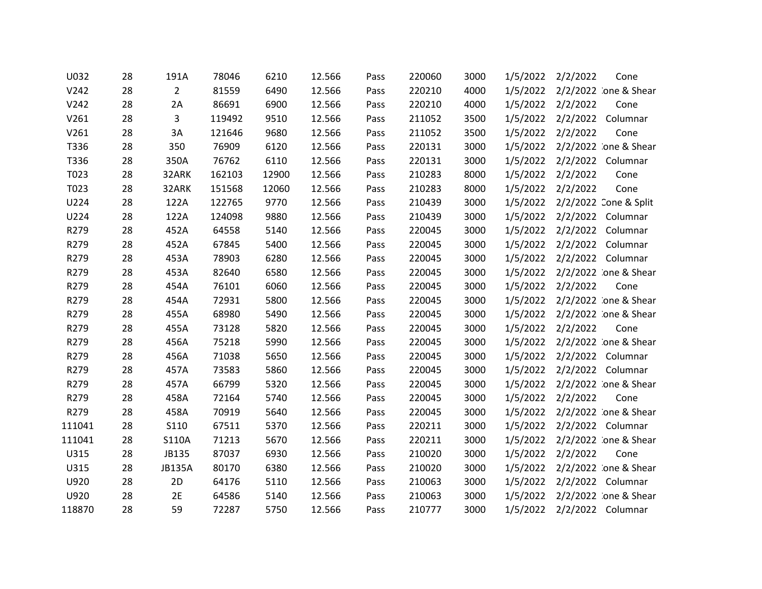| U032   | 28 | 191A           | 78046  | 6210  | 12.566 | Pass | 220060 | 3000 | 1/5/2022 | 2/2/2022 | Cone                  |
|--------|----|----------------|--------|-------|--------|------|--------|------|----------|----------|-----------------------|
| V242   | 28 | $\overline{2}$ | 81559  | 6490  | 12.566 | Pass | 220210 | 4000 | 1/5/2022 |          | 2/2/2022 :one & Shear |
| V242   | 28 | 2A             | 86691  | 6900  | 12.566 | Pass | 220210 | 4000 | 1/5/2022 | 2/2/2022 | Cone                  |
| V261   | 28 | 3              | 119492 | 9510  | 12.566 | Pass | 211052 | 3500 | 1/5/2022 | 2/2/2022 | Columnar              |
| V261   | 28 | 3A             | 121646 | 9680  | 12.566 | Pass | 211052 | 3500 | 1/5/2022 | 2/2/2022 | Cone                  |
| T336   | 28 | 350            | 76909  | 6120  | 12.566 | Pass | 220131 | 3000 | 1/5/2022 |          | 2/2/2022 :one & Shear |
| T336   | 28 | 350A           | 76762  | 6110  | 12.566 | Pass | 220131 | 3000 | 1/5/2022 |          | 2/2/2022 Columnar     |
| T023   | 28 | 32ARK          | 162103 | 12900 | 12.566 | Pass | 210283 | 8000 | 1/5/2022 | 2/2/2022 | Cone                  |
| T023   | 28 | 32ARK          | 151568 | 12060 | 12.566 | Pass | 210283 | 8000 | 1/5/2022 | 2/2/2022 | Cone                  |
| U224   | 28 | 122A           | 122765 | 9770  | 12.566 | Pass | 210439 | 3000 | 1/5/2022 |          | 2/2/2022 Cone & Split |
| U224   | 28 | 122A           | 124098 | 9880  | 12.566 | Pass | 210439 | 3000 | 1/5/2022 |          | 2/2/2022 Columnar     |
| R279   | 28 | 452A           | 64558  | 5140  | 12.566 | Pass | 220045 | 3000 | 1/5/2022 |          | 2/2/2022 Columnar     |
| R279   | 28 | 452A           | 67845  | 5400  | 12.566 | Pass | 220045 | 3000 | 1/5/2022 |          | 2/2/2022 Columnar     |
| R279   | 28 | 453A           | 78903  | 6280  | 12.566 | Pass | 220045 | 3000 | 1/5/2022 |          | 2/2/2022 Columnar     |
| R279   | 28 | 453A           | 82640  | 6580  | 12.566 | Pass | 220045 | 3000 | 1/5/2022 |          | 2/2/2022 :one & Shear |
| R279   | 28 | 454A           | 76101  | 6060  | 12.566 | Pass | 220045 | 3000 | 1/5/2022 | 2/2/2022 | Cone                  |
| R279   | 28 | 454A           | 72931  | 5800  | 12.566 | Pass | 220045 | 3000 | 1/5/2022 |          | 2/2/2022 :one & Shear |
| R279   | 28 | 455A           | 68980  | 5490  | 12.566 | Pass | 220045 | 3000 | 1/5/2022 |          | 2/2/2022 :one & Shear |
| R279   | 28 | 455A           | 73128  | 5820  | 12.566 | Pass | 220045 | 3000 | 1/5/2022 | 2/2/2022 | Cone                  |
| R279   | 28 | 456A           | 75218  | 5990  | 12.566 | Pass | 220045 | 3000 | 1/5/2022 |          | 2/2/2022 :one & Shear |
| R279   | 28 | 456A           | 71038  | 5650  | 12.566 | Pass | 220045 | 3000 | 1/5/2022 |          | 2/2/2022 Columnar     |
| R279   | 28 | 457A           | 73583  | 5860  | 12.566 | Pass | 220045 | 3000 | 1/5/2022 |          | 2/2/2022 Columnar     |
| R279   | 28 | 457A           | 66799  | 5320  | 12.566 | Pass | 220045 | 3000 | 1/5/2022 |          | 2/2/2022 :one & Shear |
| R279   | 28 | 458A           | 72164  | 5740  | 12.566 | Pass | 220045 | 3000 | 1/5/2022 | 2/2/2022 | Cone                  |
| R279   | 28 | 458A           | 70919  | 5640  | 12.566 | Pass | 220045 | 3000 | 1/5/2022 |          | 2/2/2022 :one & Shear |
| 111041 | 28 | <b>S110</b>    | 67511  | 5370  | 12.566 | Pass | 220211 | 3000 | 1/5/2022 |          | 2/2/2022 Columnar     |
| 111041 | 28 | S110A          | 71213  | 5670  | 12.566 | Pass | 220211 | 3000 | 1/5/2022 |          | 2/2/2022 :one & Shear |
| U315   | 28 | JB135          | 87037  | 6930  | 12.566 | Pass | 210020 | 3000 | 1/5/2022 | 2/2/2022 | Cone                  |
| U315   | 28 | <b>JB135A</b>  | 80170  | 6380  | 12.566 | Pass | 210020 | 3000 | 1/5/2022 |          | 2/2/2022 :one & Shear |
| U920   | 28 | 2D             | 64176  | 5110  | 12.566 | Pass | 210063 | 3000 | 1/5/2022 |          | 2/2/2022 Columnar     |
| U920   | 28 | 2E             | 64586  | 5140  | 12.566 | Pass | 210063 | 3000 | 1/5/2022 |          | 2/2/2022 :one & Shear |
| 118870 | 28 | 59             | 72287  | 5750  | 12.566 | Pass | 210777 | 3000 | 1/5/2022 |          | 2/2/2022 Columnar     |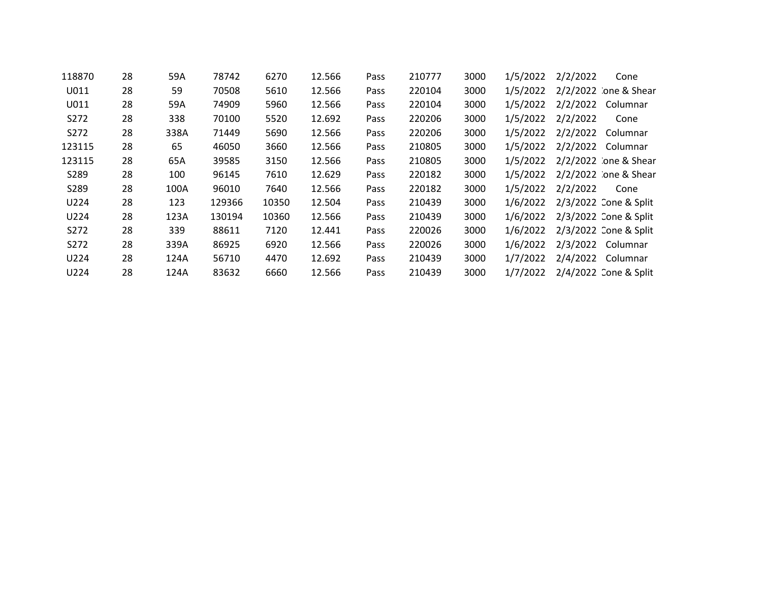| 118870 | 28 | 59A  | 78742  | 6270  | 12.566 | Pass | 210777 | 3000 | 1/5/2022 | 2/2/2022<br>Cone      |
|--------|----|------|--------|-------|--------|------|--------|------|----------|-----------------------|
| U011   | 28 | 59   | 70508  | 5610  | 12.566 | Pass | 220104 | 3000 | 1/5/2022 | 2/2/2022 :one & Shear |
| U011   | 28 | 59A  | 74909  | 5960  | 12.566 | Pass | 220104 | 3000 | 1/5/2022 | 2/2/2022<br>Columnar  |
| S272   | 28 | 338  | 70100  | 5520  | 12.692 | Pass | 220206 | 3000 | 1/5/2022 | 2/2/2022<br>Cone      |
| S272   | 28 | 338A | 71449  | 5690  | 12.566 | Pass | 220206 | 3000 | 1/5/2022 | 2/2/2022<br>Columnar  |
| 123115 | 28 | 65   | 46050  | 3660  | 12.566 | Pass | 210805 | 3000 | 1/5/2022 | 2/2/2022<br>Columnar  |
| 123115 | 28 | 65A  | 39585  | 3150  | 12.566 | Pass | 210805 | 3000 | 1/5/2022 | 2/2/2022 :one & Shear |
| S289   | 28 | 100  | 96145  | 7610  | 12.629 | Pass | 220182 | 3000 | 1/5/2022 | 2/2/2022 :one & Shear |
| S289   | 28 | 100A | 96010  | 7640  | 12.566 | Pass | 220182 | 3000 | 1/5/2022 | 2/2/2022<br>Cone      |
| U224   | 28 | 123  | 129366 | 10350 | 12.504 | Pass | 210439 | 3000 | 1/6/2022 | 2/3/2022 Cone & Split |
| U224   | 28 | 123A | 130194 | 10360 | 12.566 | Pass | 210439 | 3000 | 1/6/2022 | 2/3/2022 Cone & Split |
| S272   | 28 | 339  | 88611  | 7120  | 12.441 | Pass | 220026 | 3000 | 1/6/2022 | 2/3/2022 Cone & Split |
| S272   | 28 | 339A | 86925  | 6920  | 12.566 | Pass | 220026 | 3000 | 1/6/2022 | 2/3/2022 Columnar     |
| U224   | 28 | 124A | 56710  | 4470  | 12.692 | Pass | 210439 | 3000 | 1/7/2022 | 2/4/2022<br>Columnar  |
| U224   | 28 | 124A | 83632  | 6660  | 12.566 | Pass | 210439 | 3000 | 1/7/2022 | 2/4/2022 Cone & Split |